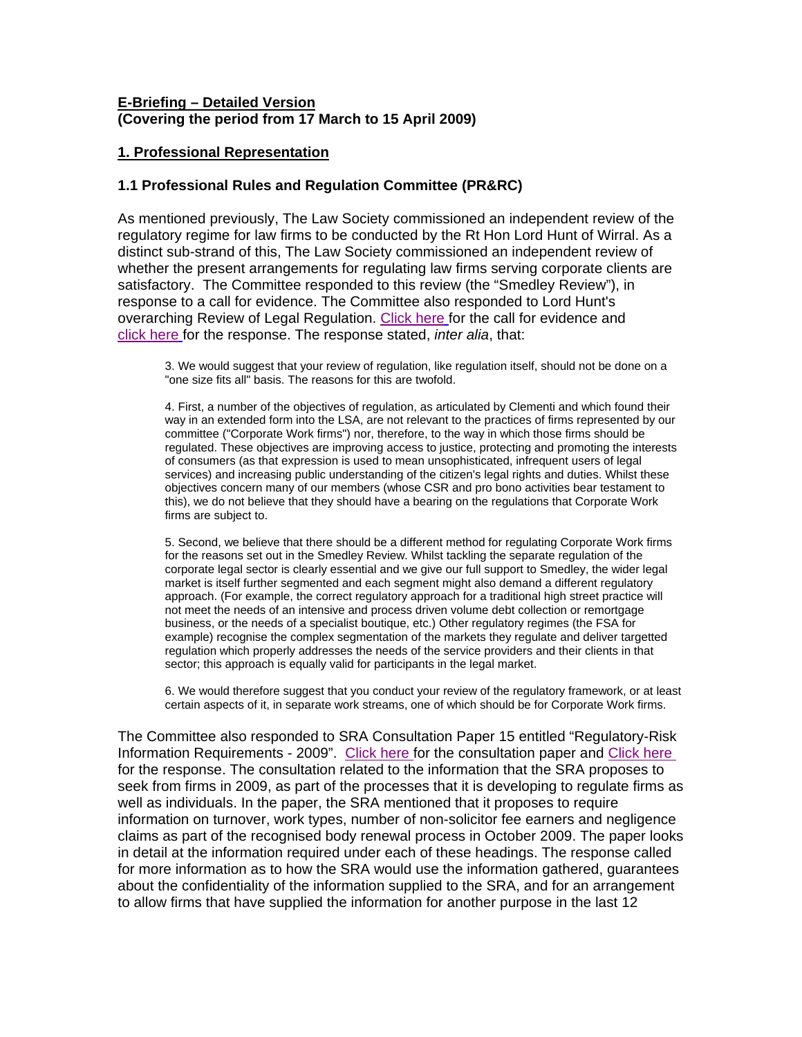### **E-Briefing – Detailed Version (Covering the period from 17 March to 15 April 2009)**

## **1. Professional Representation**

#### **1.1 Professional Rules and Regulation Committee (PR&RC)**

As mentioned previously, The Law Society commissioned an independent review of the regulatory regime for law firms to be conducted by the Rt Hon Lord Hunt of Wirral. As a distinct sub-strand of this, The Law Society commissioned an independent review of whether the present arrangements for regulating law firms serving corporate clients are satisfactory. The Committee responded to this review (the "Smedley Review"), in response to a call for evidence. The Committee also responded to Lord Hunt's overarching Review of Legal Regulation. Click here for the call for evidence and click here [for the response. The response stated,](http://www.citysolicitors.org.uk/FileServer.aspx?oID=556&lID=0) *inter alia*, that:

3. We would suggest that your review of regulation, like regulation itself, should not be done on a "one size fits all" basis. The reasons for this are twofold.

4. First, a number of the objectives of regulation, as articulated by Clementi and which found their way in an extended form into the LSA, are not relevant to the practices of firms represented by our committee ("Corporate Work firms") nor, therefore, to the way in which those firms should be regulated. These objectives are improving access to justice, protecting and promoting the interests of consumers (as that expression is used to mean unsophisticated, infrequent users of legal services) and increasing public understanding of the citizen's legal rights and duties. Whilst these objectives concern many of our members (whose CSR and pro bono activities bear testament to this), we do not believe that they should have a bearing on the regulations that Corporate Work firms are subject to.

5. Second, we believe that there should be a different method for regulating Corporate Work firms for the reasons set out in the Smedley Review. Whilst tackling the separate regulation of the corporate legal sector is clearly essential and we give our full support to Smedley, the wider legal market is itself further segmented and each segment might also demand a different regulatory approach. (For example, the correct regulatory approach for a traditional high street practice will not meet the needs of an intensive and process driven volume debt collection or remortgage business, or the needs of a specialist boutique, etc.) Other regulatory regimes (the FSA for example) recognise the complex segmentation of the markets they regulate and deliver targetted regulation which properly addresses the needs of the service providers and their clients in that sector; this approach is equally valid for participants in the legal market.

6. We would therefore suggest that you conduct your review of the regulatory framework, or at least certain aspects of it, in separate work streams, one of which should be for Corporate Work firms.

The Committee also responded to SRA Consultation Paper 15 entitled "Regulatory-Risk Information Requirements - 2009". Click here for the consultation paper and Click here for the response. The consultation related to the information that the SRA proposes to seek from firms in 2009, as part of the processes that it is developing to regulate firms as well as individuals. In the paper, the SRA mentioned that it proposes to require information on turnover, work types, number of non-solicitor fee earners and negligence claims as part of the recognised body renewal process in October 2009. The paper looks in detail at the information required under each of these headings. The response called for more information as to how the SRA would use the information gathered, guarantees about the confidentiality of the information supplied to the SRA, and for an arrangement to allow firms that have supplied the information for another purpose in the last 12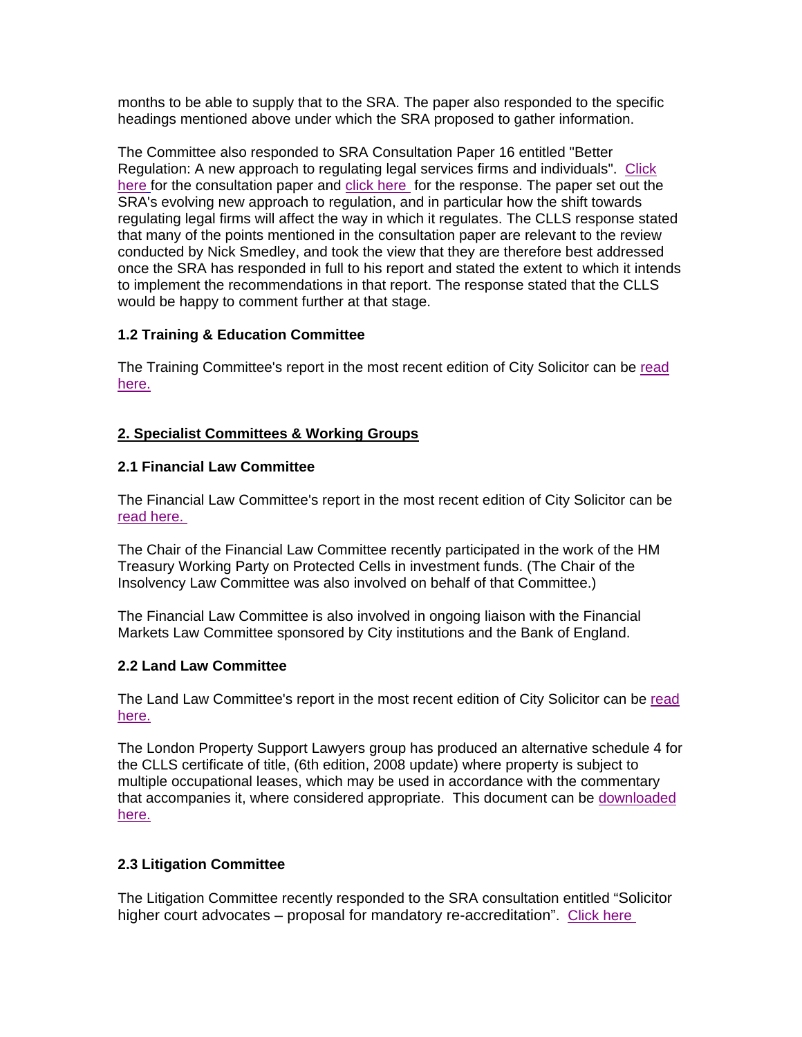months to be able to supply that to the SRA. The paper also responded to the specific headings mentioned above under which the SRA proposed to gather information.

The Committee also responded to SRA Consultation Paper 16 entitled "Better Regulation: A new approach to regulating legal services firms and individuals". Click here for the consultation paper and click here for the response. The paper set out the SRA's evolving new approach to regulation, and in particular how the shift towards regulating legal firms will affect the way in which it regulates. The CLLS response stated that many of the points mentioned in the consultation paper are relevant to the review conducted by Nick Smedley, and took the view that they are therefore best addressed once the SRA has responded in full to his report and stated the extent to which it intends to implement the recommendations in that report. The response stated that the CLLS would be happy to comment further at that stage.

# **1.2 Training & Education Committee**

The Training Committee's report in the most recent edition of City Solicitor can be read here.

## **2. Specialist Committees & Working Groups**

### **2.1 Financial Law Committee**

The Financial Law Committee's report in the most recent edition of City Solicitor can be read here.

The Chair of the Financial Law Committee recently participated in the work of the HM Treasury Working Party on Protected Cells in investment funds. (The Chair of the Insolvency Law Committee was also involved on behalf of that Committee.)

The Financial Law Committee is also involved in ongoing liaison with the Financial Markets Law Committee sponsored by City institutions and the Bank of England.

## **2.2 Land Law Committee**

The Land Law Committee's report in the most recent edition of City Solicitor can be read here.

The London Property Support Lawyers group has produced an alternative schedule 4 for the CLLS certificate of title, (6th edition, 2008 update) where property is subject to multiple occupational leases, which may be used in accordance with the commentary that accompanies it, where considered appropriate. This document can be downloaded here.

## **2.3 Litigation Committee**

The Litigation Committee recently responded to the SRA consultation entitled "Solicitor higher court advocates – proposal for mandatory re-accreditation". Click here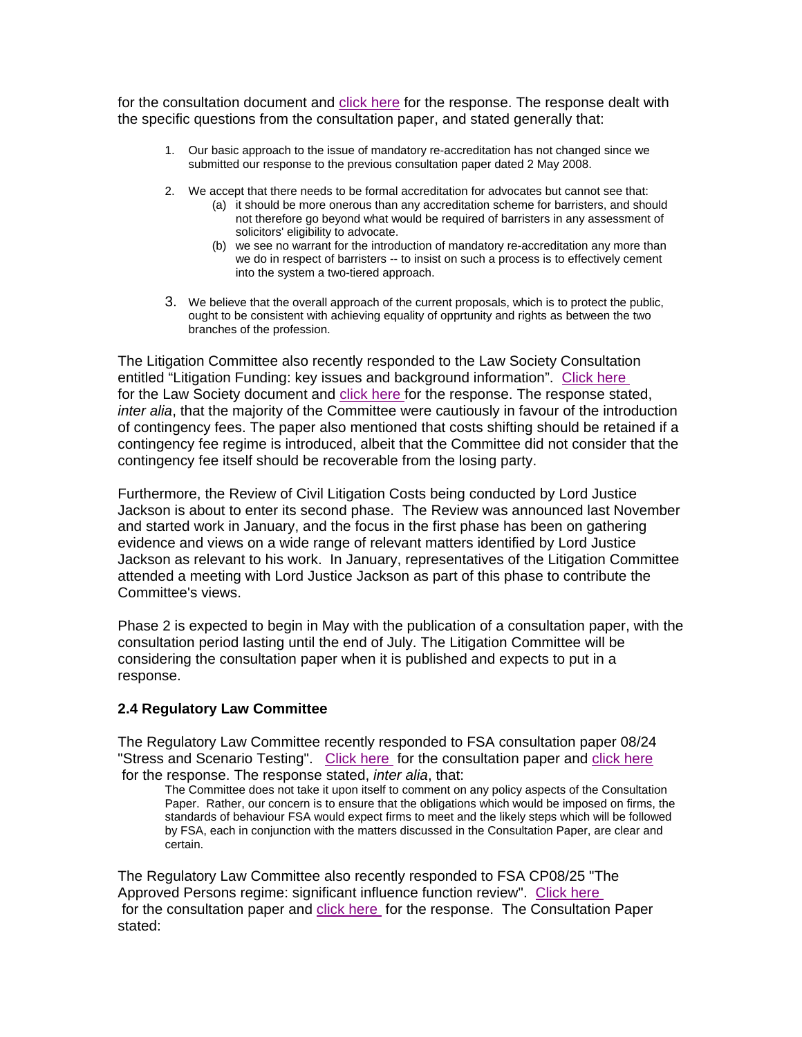for the consultation document and click here for the response. The response dealt with the specific questions from the consultation paper, and stated generally that:

- 1. Our basic approach to the issue of mandatory re-accreditation has not changed since we submitted our response to the previous consultation paper dated 2 May 2008.
- 2. We accept that there needs to be formal accreditation for advocates but cannot see that:
	- (a) it should be more onerous than any accreditation scheme for barristers, and should not therefore go beyond what would be required of barristers in any assessment of solicitors' eligibility to advocate.
	- (b) we see no warrant for the introduction of mandatory re-accreditation any more than we do in respect of barristers -- to insist on such a process is to effectively cement into the system a two-tiered approach.
- 3. We believe that the overall approach of the current proposals, which is to protect the public, ought to be consistent with achieving equality of opprtunity and rights as between the two branches of the profession.

The Litigation Committee also recently responded to the Law Society Consultation entitled "Litigation Funding: key issues and background information". Click here for the Law Society document and click here for the response. The response stated, *inter alia*, that the majority of the Committee were cautiously in favour of the introduction of contingency fees. The paper also mentioned that costs shifting should be retained if a contingency fee regime is introduced, albeit that the Committee did not consider that the contingency fee itself should be recoverable from the losing party.

Furthermore, the Review of Civil Litigation Costs being conducted by Lord Justice Jackson is about to enter its second phase. The Review was announced last November and started work in January, and the focus in the first phase has been on gathering evidence and views on a wide range of relevant matters identified by Lord Justice Jackson as relevant to his work. In January, representatives of the Litigation Committee attended a meeting with Lord Justice Jackson as part of this phase to contribute the Committee's views.

Phase 2 is expected to begin in May with the publication of a consultation paper, with the consultation period lasting until the end of July. The Litigation Committee will be considering the consultation paper when it is published and expects to put in a response.

## **2.4 Regulatory Law Committee**

The Regulatory Law Committee recently responded to FSA consultation paper 08/24 "Stress and Scenario Testing". Click here for the consultation paper and click here for the response. The response stated, *inter alia*, that:

The Committee does not take it upon itself to comment on any policy aspects of the Consultation Paper. Rather, our concern is to ensure that the obligations which would be imposed on firms, the standards of behaviour FSA would expect firms to meet and the likely steps which will be followed by FSA, each in conjunction with the matters discussed in the Consultation Paper, are clear and certain.

The Regulatory Law Committee also recently responded to FSA CP08/25 "The Approved Persons regime: significant influence function review". Click here for the consultation paper and click here for the response. The Consultation Paper stated: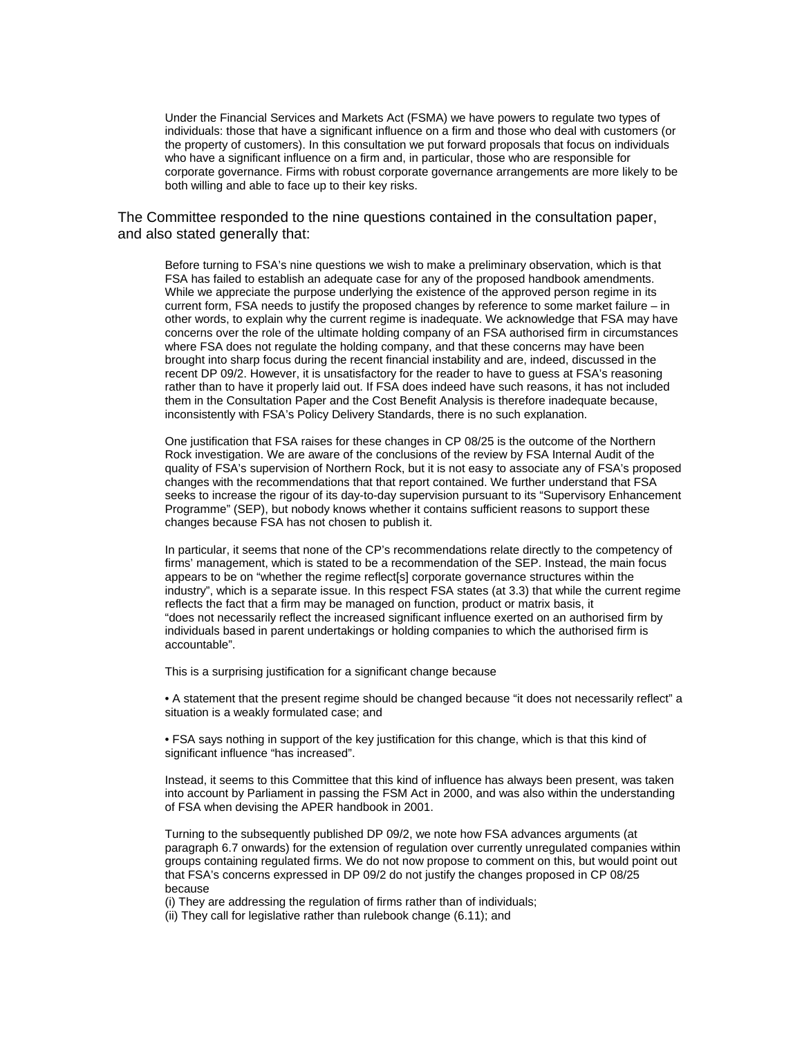Under the Financial Services and Markets Act (FSMA) we have powers to regulate two types of individuals: those that have a significant influence on a firm and those who deal with customers (or the property of customers). In this consultation we put forward proposals that focus on individuals who have a significant influence on a firm and, in particular, those who are responsible for corporate governance. Firms with robust corporate governance arrangements are more likely to be both willing and able to face up to their key risks.

#### The Committee responded to the nine questions contained in the consultation paper, and also stated generally that:

Before turning to FSA's nine questions we wish to make a preliminary observation, which is that FSA has failed to establish an adequate case for any of the proposed handbook amendments. While we appreciate the purpose underlying the existence of the approved person regime in its current form, FSA needs to justify the proposed changes by reference to some market failure – in other words, to explain why the current regime is inadequate. We acknowledge that FSA may have concerns over the role of the ultimate holding company of an FSA authorised firm in circumstances where FSA does not regulate the holding company, and that these concerns may have been brought into sharp focus during the recent financial instability and are, indeed, discussed in the recent DP 09/2. However, it is unsatisfactory for the reader to have to guess at FSA's reasoning rather than to have it properly laid out. If FSA does indeed have such reasons, it has not included them in the Consultation Paper and the Cost Benefit Analysis is therefore inadequate because, inconsistently with FSA's Policy Delivery Standards, there is no such explanation.

One justification that FSA raises for these changes in CP 08/25 is the outcome of the Northern Rock investigation. We are aware of the conclusions of the review by FSA Internal Audit of the quality of FSA's supervision of Northern Rock, but it is not easy to associate any of FSA's proposed changes with the recommendations that that report contained. We further understand that FSA seeks to increase the rigour of its day-to-day supervision pursuant to its "Supervisory Enhancement Programme" (SEP), but nobody knows whether it contains sufficient reasons to support these changes because FSA has not chosen to publish it.

In particular, it seems that none of the CP's recommendations relate directly to the competency of firms' management, which is stated to be a recommendation of the SEP. Instead, the main focus appears to be on "whether the regime reflect[s] corporate governance structures within the industry", which is a separate issue. In this respect FSA states (at 3.3) that while the current regime reflects the fact that a firm may be managed on function, product or matrix basis, it "does not necessarily reflect the increased significant influence exerted on an authorised firm by individuals based in parent undertakings or holding companies to which the authorised firm is accountable".

This is a surprising justification for a significant change because

• A statement that the present regime should be changed because "it does not necessarily reflect" a situation is a weakly formulated case; and

• FSA says nothing in support of the key justification for this change, which is that this kind of significant influence "has increased".

Instead, it seems to this Committee that this kind of influence has always been present, was taken into account by Parliament in passing the FSM Act in 2000, and was also within the understanding of FSA when devising the APER handbook in 2001.

Turning to the subsequently published DP 09/2, we note how FSA advances arguments (at paragraph 6.7 onwards) for the extension of regulation over currently unregulated companies within groups containing regulated firms. We do not now propose to comment on this, but would point out that FSA's concerns expressed in DP 09/2 do not justify the changes proposed in CP 08/25 because

(i) They are addressing the regulation of firms rather than of individuals;

(ii) They call for legislative rather than rulebook change (6.11); and